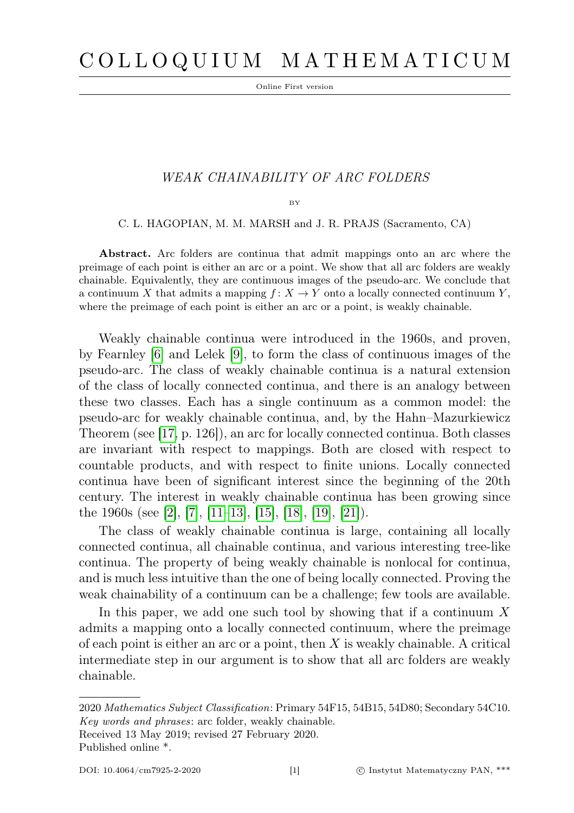Online First version

## WEAK CHAINABILITY OF ARC FOLDERS

BY

C. L. HAGOPIAN, M. M. MARSH and J. R. PRAJS (Sacramento, CA)

Abstract. Arc folders are continua that admit mappings onto an arc where the preimage of each point is either an arc or a point. We show that all arc folders are weakly chainable. Equivalently, they are continuous images of the pseudo-arc. We conclude that a continuum X that admits a mapping  $f: X \to Y$  onto a locally connected continuum Y, where the preimage of each point is either an arc or a point, is weakly chainable.

Weakly chainable continua were introduced in the 1960s, and proven, by Fearnley [\[6\]](#page-9-0) and Lelek [\[9\]](#page-9-1), to form the class of continuous images of the pseudo-arc. The class of weakly chainable continua is a natural extension of the class of locally connected continua, and there is an analogy between these two classes. Each has a single continuum as a common model: the pseudo-arc for weakly chainable continua, and, by the Hahn–Mazurkiewicz Theorem (see [\[17,](#page-10-0) p. 126]), an arc for locally connected continua. Both classes are invariant with respect to mappings. Both are closed with respect to countable products, and with respect to finite unions. Locally connected continua have been of significant interest since the beginning of the 20th century. The interest in weakly chainable continua has been growing since the 1960s (see [\[2\]](#page-9-2), [\[7\]](#page-9-3), [\[11–](#page-9-4)[13\]](#page-9-5), [\[15\]](#page-9-6), [\[18\]](#page-10-1), [\[19\]](#page-10-2), [\[21\]](#page-10-3)).

The class of weakly chainable continua is large, containing all locally connected continua, all chainable continua, and various interesting tree-like continua. The property of being weakly chainable is nonlocal for continua, and is much less intuitive than the one of being locally connected. Proving the weak chainability of a continuum can be a challenge; few tools are available.

In this paper, we add one such tool by showing that if a continuum  $X$ admits a mapping onto a locally connected continuum, where the preimage of each point is either an arc or a point, then  $X$  is weakly chainable. A critical intermediate step in our argument is to show that all arc folders are weakly chainable.

Received 13 May 2019; revised 27 February 2020. Published online \*.

<sup>2020</sup> Mathematics Subject Classification: Primary 54F15, 54B15, 54D80; Secondary 54C10. Key words and phrases: arc folder, weakly chainable.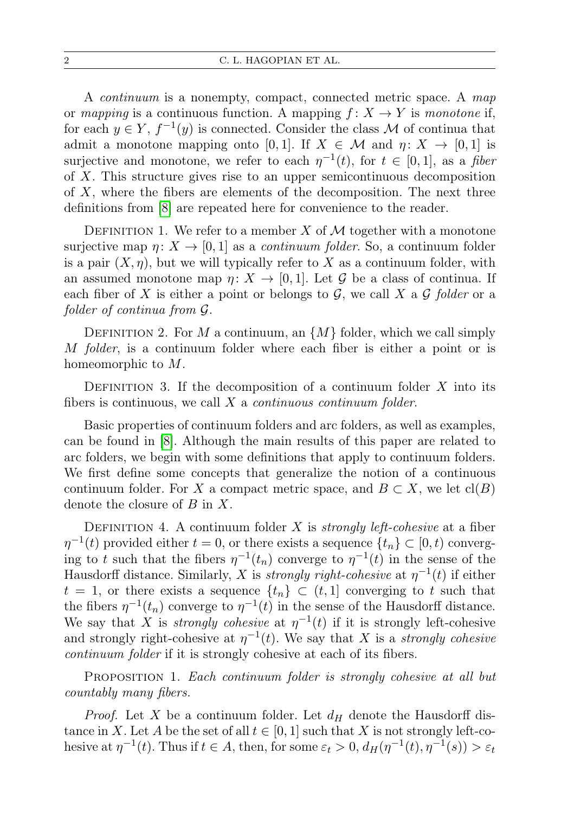A continuum is a nonempty, compact, connected metric space. A map or mapping is a continuous function. A mapping  $f: X \to Y$  is monotone if, for each  $y \in Y$ ,  $f^{-1}(y)$  is connected. Consider the class M of continua that admit a monotone mapping onto [0,1]. If  $X \in \mathcal{M}$  and  $\eta: X \to [0,1]$  is surjective and monotone, we refer to each  $\eta^{-1}(t)$ , for  $t \in [0,1]$ , as a fiber of X. This structure gives rise to an upper semicontinuous decomposition of  $X$ , where the fibers are elements of the decomposition. The next three definitions from [\[8\]](#page-9-7) are repeated here for convenience to the reader.

DEFINITION 1. We refer to a member X of  $M$  together with a monotone surjective map  $\eta: X \to [0, 1]$  as a *continuum folder*. So, a continuum folder is a pair  $(X, \eta)$ , but we will typically refer to X as a continuum folder, with an assumed monotone map  $\eta: X \to [0, 1]$ . Let G be a class of continua. If each fiber of X is either a point or belongs to  $G$ , we call X a  $G$  folder or a folder of continua from G.

DEFINITION 2. For M a continuum, an  $\{M\}$  folder, which we call simply M folder, is a continuum folder where each fiber is either a point or is homeomorphic to M.

DEFINITION 3. If the decomposition of a continuum folder  $X$  into its fibers is continuous, we call  $X$  a *continuous continuum folder*.

Basic properties of continuum folders and arc folders, as well as examples, can be found in [\[8\]](#page-9-7). Although the main results of this paper are related to arc folders, we begin with some definitions that apply to continuum folders. We first define some concepts that generalize the notion of a continuous continuum folder. For X a compact metric space, and  $B \subset X$ , we let  $cl(B)$ denote the closure of  $B$  in  $X$ .

DEFINITION 4. A continuum folder X is *strongly left-cohesive* at a fiber  $\eta^{-1}(t)$  provided either  $t = 0$ , or there exists a sequence  $\{t_n\} \subset [0, t)$  converging to t such that the fibers  $\eta^{-1}(t_n)$  converge to  $\eta^{-1}(t)$  in the sense of the Hausdorff distance. Similarly, X is *strongly right-cohesive* at  $\eta^{-1}(t)$  if either  $t = 1$ , or there exists a sequence  $\{t_n\} \subset (t, 1]$  converging to t such that the fibers  $\eta^{-1}(t_n)$  converge to  $\eta^{-1}(t)$  in the sense of the Hausdorff distance. We say that X is *strongly cohesive* at  $\eta^{-1}(t)$  if it is strongly left-cohesive and strongly right-cohesive at  $\eta^{-1}(t)$ . We say that X is a strongly cohesive continuum folder if it is strongly cohesive at each of its fibers.

PROPOSITION 1. Each continuum folder is strongly cohesive at all but countably many fibers.

*Proof.* Let X be a continuum folder. Let  $d_H$  denote the Hausdorff distance in X. Let A be the set of all  $t \in [0, 1]$  such that X is not strongly left-cohesive at  $\eta^{-1}(t)$ . Thus if  $t \in A$ , then, for some  $\varepsilon_t > 0$ ,  $d_H(\eta^{-1}(t), \eta^{-1}(s)) > \varepsilon_t$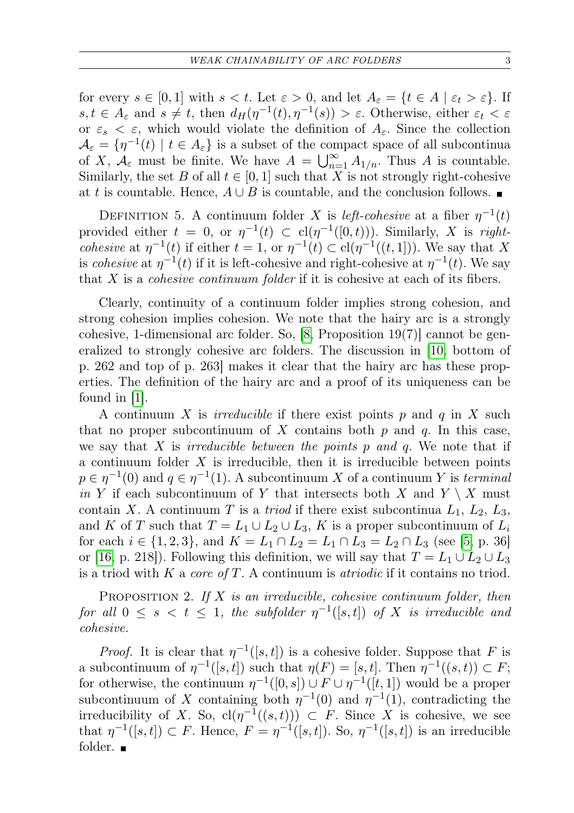for every  $s \in [0,1]$  with  $s < t$ . Let  $\varepsilon > 0$ , and let  $A_{\varepsilon} = \{t \in A \mid \varepsilon_t > \varepsilon\}$ . If  $s, t \in A_{\varepsilon}$  and  $s \neq t$ , then  $d_H(\eta^{-1}(t), \eta^{-1}(s)) > \varepsilon$ . Otherwise, either  $\varepsilon_t < \varepsilon$ or  $\varepsilon_s < \varepsilon$ , which would violate the definition of  $A_\varepsilon$ . Since the collection  $\mathcal{A}_{\varepsilon} = \{ \eta^{-1}(t) \mid t \in A_{\varepsilon} \}$  is a subset of the compact space of all subcontinua of X,  $A_{\varepsilon}$  must be finite. We have  $A = \bigcup_{n=1}^{\infty} A_{1/n}$ . Thus A is countable. Similarly, the set B of all  $t \in [0,1]$  such that X is not strongly right-cohesive at t is countable. Hence,  $A \cup B$  is countable, and the conclusion follows. ■

DEFINITION 5. A continuum folder X is *left-cohesive* at a fiber  $\eta^{-1}(t)$ provided either  $t = 0$ , or  $\eta^{-1}(t) \subset cl(\eta^{-1}([0,t)))$ . Similarly, X is right*cohesive* at  $\eta^{-1}(t)$  if either  $t = 1$ , or  $\eta^{-1}(t) \subset cl(\eta^{-1}((t, 1]))$ . We say that X is *cohesive* at  $\eta^{-1}(t)$  if it is left-cohesive and right-cohesive at  $\eta^{-1}(t)$ . We say that X is a cohesive continuum folder if it is cohesive at each of its fibers.

Clearly, continuity of a continuum folder implies strong cohesion, and strong cohesion implies cohesion. We note that the hairy arc is a strongly cohesive, 1-dimensional arc folder. So,  $[8,$  Proposition 19 $(7)$ ] cannot be generalized to strongly cohesive arc folders. The discussion in [\[10,](#page-9-8) bottom of p. 262 and top of p. 263] makes it clear that the hairy arc has these properties. The definition of the hairy arc and a proof of its uniqueness can be found in [\[1\]](#page-9-9).

A continuum X is *irreducible* if there exist points p and q in X such that no proper subcontinuum of X contains both  $p$  and  $q$ . In this case, we say that X is *irreducible between the points p and q*. We note that if a continuum folder  $X$  is irreducible, then it is irreducible between points  $p \in \eta^{-1}(0)$  and  $q \in \eta^{-1}(1)$ . A subcontinuum X of a continuum Y is terminal in Y if each subcontinuum of Y that intersects both X and  $Y \setminus X$  must contain X. A continuum T is a *triod* if there exist subcontinua  $L_1$ ,  $L_2$ ,  $L_3$ , and K of T such that  $T = L_1 \cup L_2 \cup L_3$ , K is a proper subcontinuum of  $L_i$ for each  $i \in \{1, 2, 3\}$ , and  $K = L_1 \cap L_2 = L_1 \cap L_3 = L_2 \cap L_3$  (see [\[5,](#page-9-10) p. 36] or [\[16,](#page-9-11) p. 218]). Following this definition, we will say that  $T = L_1 \cup L_2 \cup L_3$ is a triod with K a core of T. A continuum is *atriodic* if it contains no triod.

<span id="page-2-0"></span>PROPOSITION 2. If  $X$  is an irreducible, cohesive continuum folder, then for all  $0 \leq s < t \leq 1$ , the subfolder  $\eta^{-1}([s,t])$  of X is irreducible and cohesive.

*Proof.* It is clear that  $\eta^{-1}([s,t])$  is a cohesive folder. Suppose that F is a subcontinuum of  $\eta^{-1}([s,t])$  such that  $\eta(F) = [s,t]$ . Then  $\eta^{-1}((s,t)) \subset F$ ; for otherwise, the continuum  $\eta^{-1}([0, s]) \cup F \cup \eta^{-1}([t, 1])$  would be a proper subcontinuum of X containing both  $\eta^{-1}(0)$  and  $\eta^{-1}(1)$ , contradicting the irreducibility of X. So,  $\text{cl}(\eta^{-1}((s,t))) \subset F$ . Since X is cohesive, we see that  $\eta^{-1}([s,t]) \subset F$ . Hence,  $F = \eta^{-1}([s,t])$ . So,  $\eta^{-1}([s,t])$  is an irreducible folder.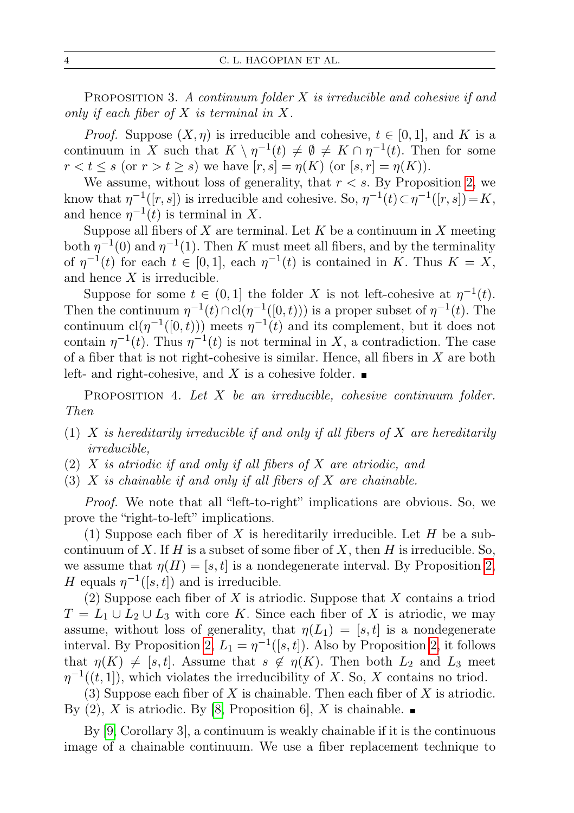PROPOSITION 3. A continuum folder  $X$  is irreducible and cohesive if and only if each fiber of  $X$  is terminal in  $X$ .

*Proof.* Suppose  $(X, \eta)$  is irreducible and cohesive,  $t \in [0, 1]$ , and K is a continuum in X such that  $K \setminus \eta^{-1}(t) \neq \emptyset \neq K \cap \eta^{-1}(t)$ . Then for some  $r < t \leq s$  (or  $r > t \geq s$ ) we have  $[r, s] = \eta(K)$  (or  $[s, r] = \eta(K)$ ).

We assume, without loss of generality, that  $r < s$ . By Proposition [2,](#page-2-0) we know that  $\eta^{-1}([r,s])$  is irreducible and cohesive. So,  $\eta^{-1}(t) \subset \eta^{-1}([r,s]) = K$ , and hence  $\eta^{-1}(t)$  is terminal in X.

Suppose all fibers of X are terminal. Let K be a continuum in X meeting both  $\eta^{-1}(0)$  and  $\eta^{-1}(1)$ . Then K must meet all fibers, and by the terminality of  $\eta^{-1}(t)$  for each  $t \in [0,1]$ , each  $\eta^{-1}(t)$  is contained in K. Thus  $K = X$ , and hence X is irreducible.

Suppose for some  $t \in (0,1]$  the folder X is not left-cohesive at  $\eta^{-1}(t)$ . Then the continuum  $\eta^{-1}(t) \cap cl(\eta^{-1}([0,t)))$  is a proper subset of  $\eta^{-1}(t)$ . The continuum  $\text{cl}(\eta^{-1}([0,t)))$  meets  $\eta^{-1}(t)$  and its complement, but it does not contain  $\eta^{-1}(t)$ . Thus  $\eta^{-1}(t)$  is not terminal in X, a contradiction. The case of a fiber that is not right-cohesive is similar. Hence, all fibers in X are both left- and right-cohesive, and X is a cohesive folder.  $\blacksquare$ 

<span id="page-3-0"></span>PROPOSITION 4. Let  $X$  be an irreducible, cohesive continuum folder. Then

- (1) X is hereditarily irreducible if and only if all fibers of X are hereditarily irreducible,
- (2) X is atriodic if and only if all fibers of X are atriodic, and
- (3)  $X$  is chainable if and only if all fibers of  $X$  are chainable.

Proof. We note that all "left-to-right" implications are obvious. So, we prove the "right-to-left" implications.

(1) Suppose each fiber of X is hereditarily irreducible. Let H be a subcontinuum of X. If H is a subset of some fiber of X, then H is irreducible. So, we assume that  $\eta(H) = [s, t]$  is a nondegenerate interval. By Proposition [2,](#page-2-0) H equals  $\eta^{-1}([s,t])$  and is irreducible.

(2) Suppose each fiber of  $X$  is atriodic. Suppose that  $X$  contains a triod  $T = L_1 \cup L_2 \cup L_3$  with core K. Since each fiber of X is atriodic, we may assume, without loss of generality, that  $\eta(L_1) = [s, t]$  is a nondegenerate interval. By Proposition [2,](#page-2-0)  $L_1 = \eta^{-1}([s,t])$ . Also by Proposition 2, it follows that  $\eta(K) \neq [s, t]$ . Assume that  $s \notin \eta(K)$ . Then both  $L_2$  and  $L_3$  meet  $\eta^{-1}((t,1])$ , which violates the irreducibility of X. So, X contains no triod.

(3) Suppose each fiber of X is chainable. Then each fiber of X is atriodic. By (2), X is atriodic. By [\[8,](#page-9-7) Proposition 6], X is chainable.  $\blacksquare$ 

By [\[9,](#page-9-1) Corollary 3], a continuum is weakly chainable if it is the continuous image of a chainable continuum. We use a fiber replacement technique to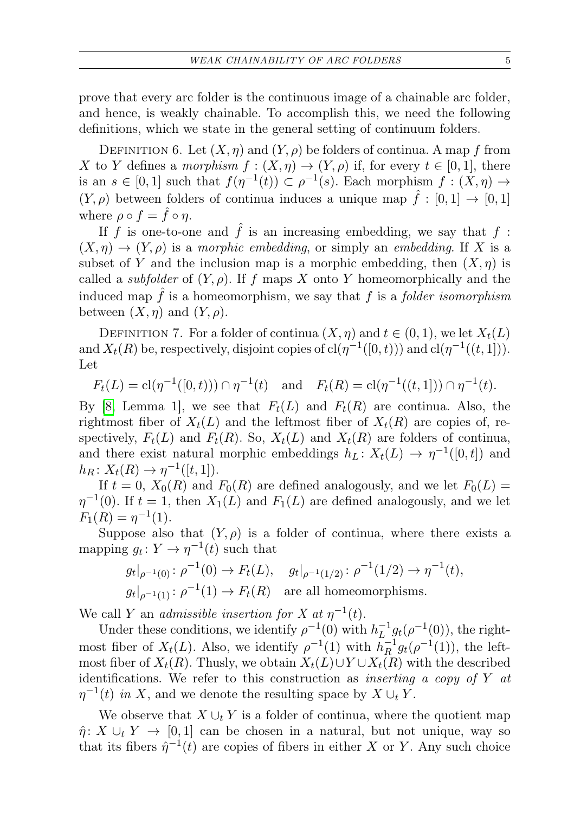prove that every arc folder is the continuous image of a chainable arc folder, and hence, is weakly chainable. To accomplish this, we need the following definitions, which we state in the general setting of continuum folders.

<span id="page-4-0"></span>DEFINITION 6. Let  $(X, \eta)$  and  $(Y, \rho)$  be folders of continua. A map f from X to Y defines a morphism  $f : (X, \eta) \to (Y, \rho)$  if, for every  $t \in [0, 1]$ , there is an  $s \in [0,1]$  such that  $f(\eta^{-1}(t)) \subset \rho^{-1}(s)$ . Each morphism  $f : (X, \eta) \to$  $(Y, \rho)$  between folders of continua induces a unique map  $\hat{f} : [0, 1] \to [0, 1]$ where  $\rho \circ f = \hat{f} \circ \eta$ .

If f is one-to-one and  $\hat{f}$  is an increasing embedding, we say that f:  $(X, \eta) \to (Y, \rho)$  is a morphic embedding, or simply an embedding. If X is a subset of Y and the inclusion map is a morphic embedding, then  $(X, \eta)$  is called a *subfolder* of  $(Y, \rho)$ . If f maps X onto Y homeomorphically and the induced map  $f$  is a homeomorphism, we say that  $f$  is a *folder isomorphism* between  $(X, \eta)$  and  $(Y, \rho)$ .

DEFINITION 7. For a folder of continua  $(X, \eta)$  and  $t \in (0, 1)$ , we let  $X_t(L)$ and  $X_t(R)$  be, respectively, disjoint copies of  $\text{cl}(\eta^{-1}([0,t)))$  and  $\text{cl}(\eta^{-1}((t,1]))$ . Let

 $F_t(L) = cl(\eta^{-1}([0,t))) \cap \eta^{-1}(t) \text{ and } F_t(R) = cl(\eta^{-1}((t,1])) \cap \eta^{-1}(t).$ 

By [\[8,](#page-9-7) Lemma 1], we see that  $F_t(L)$  and  $F_t(R)$  are continua. Also, the rightmost fiber of  $X_t(L)$  and the leftmost fiber of  $X_t(R)$  are copies of, respectively,  $F_t(L)$  and  $F_t(R)$ . So,  $X_t(L)$  and  $X_t(R)$  are folders of continua, and there exist natural morphic embeddings  $h_L: X_t(L) \to \eta^{-1}([0,t])$  and  $h_R\colon X_t(R)\to \eta^{-1}([t,1]).$ 

If  $t = 0$ ,  $X_0(R)$  and  $F_0(R)$  are defined analogously, and we let  $F_0(L)$  =  $\eta^{-1}(0)$ . If  $t = 1$ , then  $X_1(L)$  and  $F_1(L)$  are defined analogously, and we let  $F_1(R) = \eta^{-1}(1).$ 

Suppose also that  $(Y, \rho)$  is a folder of continua, where there exists a mapping  $g_t: Y \to \eta^{-1}(t)$  such that

$$
g_t|_{\rho^{-1}(0)}: \rho^{-1}(0) \to F_t(L), \quad g_t|_{\rho^{-1}(1/2)}: \rho^{-1}(1/2) \to \eta^{-1}(t),
$$
  
 $g_t|_{\rho^{-1}(1)}: \rho^{-1}(1) \to F_t(R)$  are all homeomorphisms.

We call Y an *admissible insertion for* X at  $\eta^{-1}(t)$ .

Under these conditions, we identify  $\rho^{-1}(0)$  with  $h_L^{-1}$  $\frac{1}{L}$ <sup>1</sup> $g_t(\rho^{-1}(0))$ , the rightmost fiber of  $X_t(L)$ . Also, we identify  $\rho^{-1}(1)$  with  $h_R^{-1}$  $\frac{-1}{R}g_t(\rho^{-1}(1)),$  the leftmost fiber of  $X_t(R)$ . Thusly, we obtain  $X_t(L) \cup Y \cup X_t(R)$  with the described identifications. We refer to this construction as *inserting a copy of Y at*  $\eta^{-1}(t)$  in X, and we denote the resulting space by  $X \cup_t Y$ .

We observe that  $X \cup_t Y$  is a folder of continua, where the quotient map  $\hat{\eta}: X \cup_t Y \to [0,1]$  can be chosen in a natural, but not unique, way so that its fibers  $\hat{\eta}^{-1}(t)$  are copies of fibers in either X or Y. Any such choice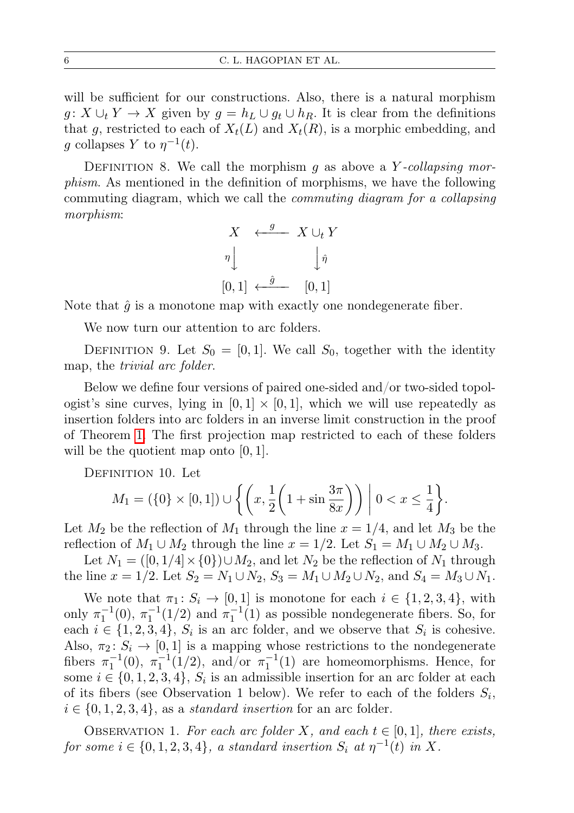will be sufficient for our constructions. Also, there is a natural morphism  $g: X \cup_t Y \to X$  given by  $g = h_L \cup g_t \cup h_R$ . It is clear from the definitions that g, restricted to each of  $X_t(L)$  and  $X_t(R)$ , is a morphic embedding, and g collapses Y to  $\eta^{-1}(t)$ .

<span id="page-5-0"></span>DEFINITION 8. We call the morphism g as above a Y-collapsing morphism. As mentioned in the definition of morphisms, we have the following commuting diagram, which we call the commuting diagram for a collapsing morphism:



Note that  $\hat{g}$  is a monotone map with exactly one nondegenerate fiber.

We now turn our attention to arc folders.

DEFINITION 9. Let  $S_0 = [0, 1]$ . We call  $S_0$ , together with the identity map, the trivial arc folder.

Below we define four versions of paired one-sided and/or two-sided topologist's sine curves, lying in  $[0, 1] \times [0, 1]$ , which we will use repeatedly as insertion folders into arc folders in an inverse limit construction in the proof of Theorem [1.](#page-6-0) The first projection map restricted to each of these folders will be the quotient map onto  $[0, 1]$ .

DEFINITION 10. Let

$$
M_1 = (\{0\} \times [0,1]) \cup \left\{ \left( x, \frac{1}{2} \left( 1 + \sin \frac{3\pi}{8x} \right) \right) \middle| 0 < x \le \frac{1}{4} \right\}.
$$

Let  $M_2$  be the reflection of  $M_1$  through the line  $x = 1/4$ , and let  $M_3$  be the reflection of  $M_1 \cup M_2$  through the line  $x = 1/2$ . Let  $S_1 = M_1 \cup M_2 \cup M_3$ .

Let  $N_1 = ([0, 1/4] \times \{0\}) \cup M_2$ , and let  $N_2$  be the reflection of  $N_1$  through the line  $x = 1/2$ . Let  $S_2 = N_1 \cup N_2$ ,  $S_3 = M_1 \cup M_2 \cup N_2$ , and  $S_4 = M_3 \cup N_1$ .

We note that  $\pi_1: S_i \to [0,1]$  is monotone for each  $i \in \{1,2,3,4\}$ , with only  $\pi_1^{-1}(0)$ ,  $\pi_1^{-1}(1/2)$  and  $\pi_1^{-1}(1)$  as possible nondegenerate fibers. So, for each  $i \in \{1, 2, 3, 4\}, S_i$  is an arc folder, and we observe that  $S_i$  is cohesive. Also,  $\pi_2 \colon S_i \to [0,1]$  is a mapping whose restrictions to the nondegenerate fibers  $\pi_1^{-1}(0)$ ,  $\pi_1^{-1}(1/2)$ , and/or  $\pi_1^{-1}(1)$  are homeomorphisms. Hence, for some  $i \in \{0, 1, 2, 3, 4\}, S_i$  is an admissible insertion for an arc folder at each of its fibers (see Observation 1 below). We refer to each of the folders  $S_i$ ,  $i \in \{0, 1, 2, 3, 4\},$  as a *standard insertion* for an arc folder.

OBSERVATION 1. For each arc folder X, and each  $t \in [0,1]$ , there exists, for some  $i \in \{0, 1, 2, 3, 4\}$ , a standard insertion  $S_i$  at  $\eta^{-1}(t)$  in X.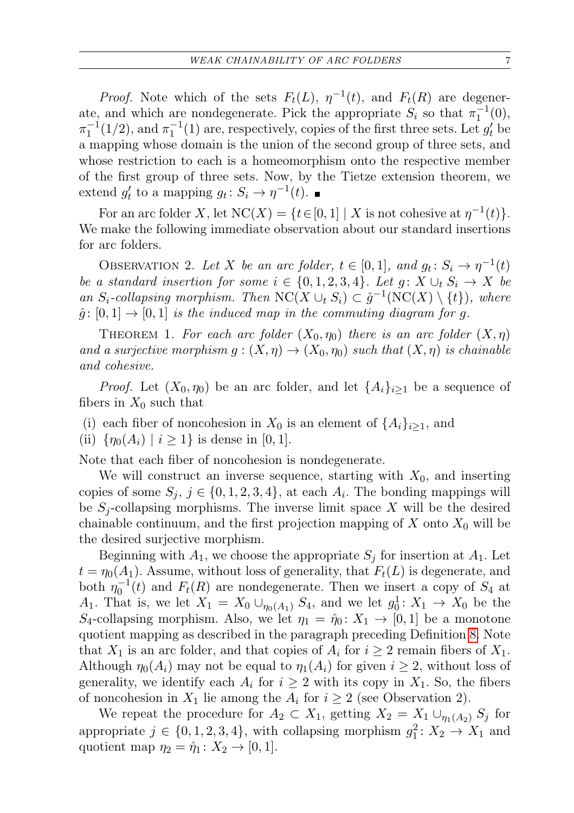*Proof.* Note which of the sets  $F_t(L)$ ,  $\eta^{-1}(t)$ , and  $F_t(R)$  are degenerate, and which are nondegenerate. Pick the appropriate  $S_i$  so that  $\pi_1^{-1}(0)$ ,  $\pi_1^{-1}(1/2)$ , and  $\pi_1^{-1}(1)$  are, respectively, copies of the first three sets. Let  $g_t'$  be a mapping whose domain is the union of the second group of three sets, and whose restriction to each is a homeomorphism onto the respective member of the first group of three sets. Now, by the Tietze extension theorem, we extend  $g'_t$  to a mapping  $g_t: S_i \to \eta^{-1}(t)$ .

For an arc folder X, let  $NC(X) = \{t \in [0,1] \mid X \text{ is not cohesive at } \eta^{-1}(t)\}.$ We make the following immediate observation about our standard insertions for arc folders.

OBSERVATION 2. Let X be an arc folder,  $t \in [0,1]$ , and  $g_t \colon S_i \to \eta^{-1}(t)$ be a standard insertion for some  $i \in \{0, 1, 2, 3, 4\}$ . Let  $g: X \cup_t S_i \to X$  be an  $S_i$ -collapsing morphism. Then  $\mathrm{NC}(X \cup_t S_i) \subset \hat{g}^{-1}(\mathrm{NC}(X) \setminus \{t\})$ , where  $\hat{g}: [0,1] \to [0,1]$  is the induced map in the commuting diagram for g.

<span id="page-6-0"></span>THEOREM 1. For each arc folder  $(X_0, \eta_0)$  there is an arc folder  $(X, \eta)$ and a surjective morphism  $g: (X, \eta) \to (X_0, \eta_0)$  such that  $(X, \eta)$  is chainable and cohesive.

*Proof.* Let  $(X_0, \eta_0)$  be an arc folder, and let  $\{A_i\}_{i>1}$  be a sequence of fibers in  $X_0$  such that

(i) each fiber of noncohesion in  $X_0$  is an element of  $\{A_i\}_{i>1}$ , and

(ii)  $\{\eta_0(A_i) \mid i \geq 1\}$  is dense in [0, 1].

Note that each fiber of noncohesion is nondegenerate.

We will construct an inverse sequence, starting with  $X_0$ , and inserting copies of some  $S_j$ ,  $j \in \{0, 1, 2, 3, 4\}$ , at each  $A_i$ . The bonding mappings will be  $S_i$ -collapsing morphisms. The inverse limit space X will be the desired chainable continuum, and the first projection mapping of  $X$  onto  $X_0$  will be the desired surjective morphism.

Beginning with  $A_1$ , we choose the appropriate  $S_i$  for insertion at  $A_1$ . Let  $t = \eta_0(A_1)$ . Assume, without loss of generality, that  $F_t(L)$  is degenerate, and both  $\eta_0^{-1}(t)$  and  $F_t(R)$  are nondegenerate. Then we insert a copy of  $S_4$  at A<sub>1</sub>. That is, we let  $X_1 = X_0 \cup_{\eta_0(A_1)} S_4$ , and we let  $g_0^1: X_1 \to X_0$  be the  $S_4$ -collapsing morphism. Also, we let  $\eta_1 = \hat{\eta}_0 \colon X_1 \to [0,1]$  be a monotone quotient mapping as described in the paragraph preceding Definition [8.](#page-5-0) Note that  $X_1$  is an arc folder, and that copies of  $A_i$  for  $i \geq 2$  remain fibers of  $X_1$ . Although  $\eta_0(A_i)$  may not be equal to  $\eta_1(A_i)$  for given  $i \geq 2$ , without loss of generality, we identify each  $A_i$  for  $i \geq 2$  with its copy in  $X_1$ . So, the fibers of noncohesion in  $X_1$  lie among the  $A_i$  for  $i \geq 2$  (see Observation 2).

We repeat the procedure for  $A_2 \subset X_1$ , getting  $X_2 = X_1 \cup_{\eta_1(A_2)} S_j$  for appropriate  $j \in \{0, 1, 2, 3, 4\}$ , with collapsing morphism  $g_1^2: X_2 \to X_1$  and quotient map  $\eta_2 = \hat{\eta}_1 \colon X_2 \to [0, 1].$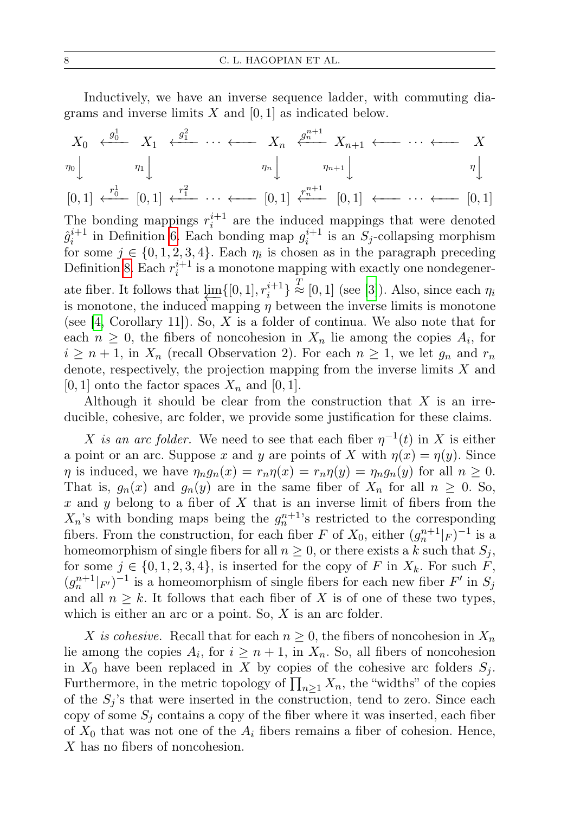Inductively, we have an inverse sequence ladder, with commuting diagrams and inverse limits  $X$  and  $[0, 1]$  as indicated below.

$$
X_0 \leftarrow \begin{array}{c} g_0^1 \\ \longleftarrow \\ \eta_0 \end{array} \begin{array}{c} X_1 \leftarrow \begin{array}{c} g_1^2 \\ \longleftarrow \\ \eta_1 \end{array} \begin{array}{c} \longleftarrow \\ \vdots \\ \longleftarrow \\ \eta_n \end{array} \begin{array}{c} \longleftarrow \\ \eta_n \end{array} \begin{array}{c} \longleftarrow \\ \eta_{n+1} \end{array} \begin{array}{c} \longleftarrow \\ \vdots \\ \longleftarrow \\ \eta_n \end{array} \begin{array}{c} \longleftarrow \\ \vdots \\ \longleftarrow \\ \eta_n \end{array} \begin{array}{c} \longleftarrow \\ \vdots \\ \longleftarrow \\ \eta_n \end{array} \begin{array}{c} \longleftarrow \\ \vdots \\ \longleftarrow \\ \eta_n \end{array} \begin{array}{c} \longleftarrow \\ \vdots \\ \longleftarrow \\ \eta_n \end{array} \begin{array}{c} \longleftarrow \\ \vdots \\ \longleftarrow \\ \eta_n \end{array} \begin{array}{c} \longleftarrow \\ \vdots \\ \longleftarrow \\ \eta_n \end{array} \begin{array}{c} \longleftarrow \\ \vdots \\ \longleftarrow \\ \eta_n \end{array} \begin{array}{c} \longleftarrow \\ \vdots \\ \longleftarrow \\ \eta_n \end{array} \begin{array}{c} \longleftarrow \\ \vdots \\ \longleftarrow \\ \eta_n \end{array} \begin{array}{c} \longleftarrow \\ \vdots \\ \longleftarrow \\ \eta_n \end{array} \begin{array}{c} \longleftarrow \\ \vdots \\ \longleftarrow \\ \eta_n \end{array} \begin{array}{c} \longleftarrow \\ \vdots \\ \longleftarrow \\ \eta_n \end{array} \begin{array}{c} \longleftarrow \\ \vdots \\ \longleftarrow \\ \eta_n \end{array} \begin{array}{c} \longleftarrow \\ \vdots \\ \longleftarrow \\ \eta_n \end{array} \begin{array}{c} \longleftarrow \\ \vdots \\ \longleftarrow \\ \eta_n \end{array} \begin{array}{c} \longleftarrow \\ \vdots \\ \longleftarrow \\ \eta_n \end{array} \begin{array}{c} \longleftarrow \\ \vdots \\ \longleftarrow \\ \eta_n \end{array} \begin{array}{c} \longleftarrow \\ \vdots \\ \longleftarrow \\ \eta_n \end{array} \begin{array}{c} \longleftarrow \\ \vdots \\ \longleftarrow \\ \eta_n \end{array} \begin{array}{c} \longleftarrow \\ \vdots \\ \longleftarrow \\ \eta_n \end{array} \begin{array
$$

$$
[0,1] \xleftarrow{r_0^1} [0,1] \xleftarrow{r_1^2} \cdots \xleftarrow{r_n^{n+1}} [0,1] \xleftarrow{r_n^{n+1}} [0,1] \xleftarrow{r \cdots} \cdots \xleftarrow{r \cdots} [0,1]
$$

The bonding mappings  $r_i^{i+1}$  are the induced mappings that were denoted  $\hat{g}_i^{i+1}$  in Definition [6.](#page-4-0) Each bonding map  $g_i^{i+1}$  is an  $S_j$ -collapsing morphism for some  $j \in \{0, 1, 2, 3, 4\}$ . Each  $\eta_i$  is chosen as in the paragraph preceding Definition [8.](#page-5-0) Each  $r_i^{i+1}$  is a monotone mapping with exactly one nondegenerate fiber. It follows that  $\underline{\lim}_{i} \{ [0, 1], r_i^{i+1} \} \stackrel{T}{\approx} [0, 1]$  (see [\[3\]](#page-9-12)). Also, since each  $\eta_i$ is monotone, the induced mapping  $\eta$  between the inverse limits is monotone (see [\[4,](#page-9-13) Corollary 11]). So, X is a folder of continua. We also note that for each  $n \geq 0$ , the fibers of noncohesion in  $X_n$  lie among the copies  $A_i$ , for  $i \geq n+1$ , in  $X_n$  (recall Observation 2). For each  $n \geq 1$ , we let  $g_n$  and  $r_n$ denote, respectively, the projection mapping from the inverse limits  $X$  and  $[0, 1]$  onto the factor spaces  $X_n$  and  $[0, 1]$ .

Although it should be clear from the construction that  $X$  is an irreducible, cohesive, arc folder, we provide some justification for these claims.

X is an arc folder. We need to see that each fiber  $\eta^{-1}(t)$  in X is either a point or an arc. Suppose x and y are points of X with  $\eta(x) = \eta(y)$ . Since  $\eta$  is induced, we have  $\eta_n g_n(x) = r_n \eta(x) = r_n \eta(y) = \eta_n g_n(y)$  for all  $n \geq 0$ . That is,  $g_n(x)$  and  $g_n(y)$  are in the same fiber of  $X_n$  for all  $n \geq 0$ . So, x and y belong to a fiber of  $X$  that is an inverse limit of fibers from the  $X_n$ 's with bonding maps being the  $g_n^{n+1}$ 's restricted to the corresponding fibers. From the construction, for each fiber F of  $X_0$ , either  $(g_n^{n+1}|_F)^{-1}$  is a homeomorphism of single fibers for all  $n \geq 0$ , or there exists a k such that  $S_i$ , for some  $j \in \{0, 1, 2, 3, 4\}$ , is inserted for the copy of F in  $X_k$ . For such F,  $(g_n^{n+1}|_{F'})^{-1}$  is a homeomorphism of single fibers for each new fiber  $F'$  in  $S_j$ and all  $n \geq k$ . It follows that each fiber of X is of one of these two types, which is either an arc or a point. So,  $X$  is an arc folder.

X is cohesive. Recall that for each  $n \geq 0$ , the fibers of noncohesion in  $X_n$ lie among the copies  $A_i$ , for  $i \geq n+1$ , in  $X_n$ . So, all fibers of noncohesion in  $X_0$  have been replaced in X by copies of the cohesive arc folders  $S_i$ . Furthermore, in the metric topology of  $\prod_{n\geq 1} X_n$ , the "widths" of the copies of the  $S_i$ 's that were inserted in the construction, tend to zero. Since each copy of some  $S_j$  contains a copy of the fiber where it was inserted, each fiber of  $X_0$  that was not one of the  $A_i$  fibers remains a fiber of cohesion. Hence, X has no fibers of noncohesion.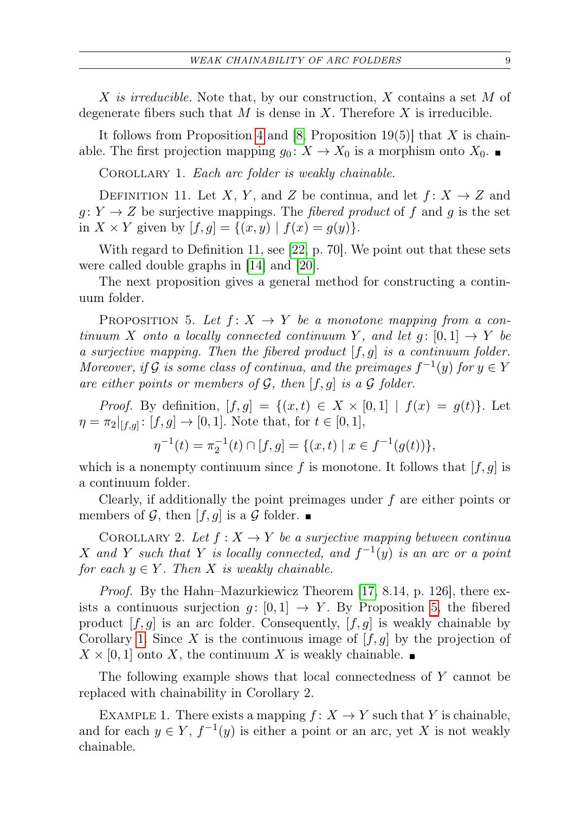X is irreducible. Note that, by our construction,  $X$  contains a set  $M$  of degenerate fibers such that  $M$  is dense in  $X$ . Therefore  $X$  is irreducible.

It follows from Proposition [4](#page-3-0) and [\[8,](#page-9-7) Proposition 19(5)] that X is chainable. The first projection mapping  $g_0: X \to X_0$  is a morphism onto  $X_0$ .

<span id="page-8-1"></span>COROLLARY 1. Each arc folder is weakly chainable.

DEFINITION 11. Let X, Y, and Z be continua, and let  $f: X \to Z$  and  $q: Y \to Z$  be surjective mappings. The *fibered product* of f and q is the set in  $X \times Y$  given by  $[f, g] = \{(x, y) | f(x) = g(y)\}.$ 

With regard to Definition 11, see [\[22,](#page-10-4) p. 70]. We point out that these sets were called double graphs in [\[14\]](#page-9-14) and [\[20\]](#page-10-5).

The next proposition gives a general method for constructing a continuum folder.

<span id="page-8-0"></span>PROPOSITION 5. Let  $f: X \to Y$  be a monotone mapping from a continuum X onto a locally connected continuum Y, and let  $g: [0, 1] \rightarrow Y$  be a surjective mapping. Then the fibered product  $[f, g]$  is a continuum folder. Moreover, if G is some class of continua, and the preimages  $f^{-1}(y)$  for  $y \in Y$ are either points or members of  $G$ , then  $[f,g]$  is a  $G$  folder.

*Proof.* By definition,  $[f, g] = \{(x, t) \in X \times [0, 1] \mid f(x) = g(t)\}.$  Let  $\eta = \pi_2|_{[f,g]}: [f,g] \to [0,1].$  Note that, for  $t \in [0,1],$ 

$$
\eta^{-1}(t) = \pi_2^{-1}(t) \cap [f, g] = \{(x, t) \mid x \in f^{-1}(g(t))\},\
$$

which is a nonempty continuum since f is monotone. It follows that  $|f, g|$  is a continuum folder.

Clearly, if additionally the point preimages under f are either points or members of G, then  $[f, g]$  is a G folder.

COROLLARY 2. Let  $f: X \to Y$  be a surjective mapping between continua X and Y such that Y is locally connected, and  $f^{-1}(y)$  is an arc or a point for each  $y \in Y$ . Then X is weakly chainable.

Proof. By the Hahn–Mazurkiewicz Theorem [\[17,](#page-10-0) 8.14, p. 126], there exists a continuous surjection  $g: [0,1] \rightarrow Y$ . By Proposition [5,](#page-8-0) the fibered product  $[f, g]$  is an arc folder. Consequently,  $[f, g]$  is weakly chainable by Corollary [1.](#page-8-1) Since X is the continuous image of  $[f, g]$  by the projection of  $X \times [0, 1]$  onto X, the continuum X is weakly chainable.

The following example shows that local connectedness of Y cannot be replaced with chainability in Corollary 2.

EXAMPLE 1. There exists a mapping  $f: X \to Y$  such that Y is chainable, and for each  $y \in Y$ ,  $f^{-1}(y)$  is either a point or an arc, yet X is not weakly chainable.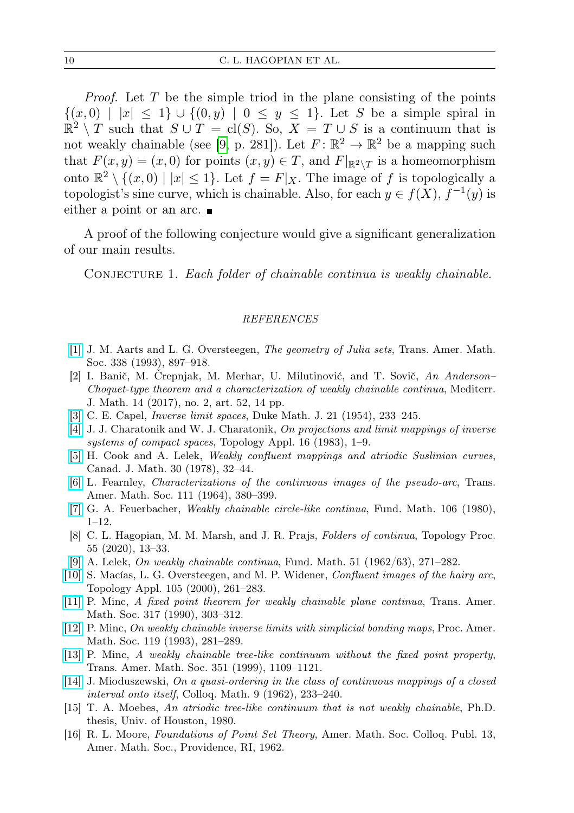*Proof.* Let  $T$  be the simple triod in the plane consisting of the points  $\{(x, 0) | |x| \leq 1\} \cup \{(0, y) | 0 \leq y \leq 1\}.$  Let S be a simple spiral in  $\mathbb{R}^2 \setminus T$  such that  $S \cup T = cl(S)$ . So,  $X = T \cup S$  is a continuum that is not weakly chainable (see [\[9,](#page-9-1) p. 281]). Let  $F: \mathbb{R}^2 \to \mathbb{R}^2$  be a mapping such that  $F(x, y) = (x, 0)$  for points  $(x, y) \in T$ , and  $F|_{\mathbb{R}^2 \setminus T}$  is a homeomorphism onto  $\mathbb{R}^2 \setminus \{(x,0) \mid |x| \leq 1\}$ . Let  $f = F|_X$ . The image of f is topologically a topologist's sine curve, which is chainable. Also, for each  $y \in f(X)$ ,  $f^{-1}(y)$  is either a point or an arc.

A proof of the following conjecture would give a significant generalization of our main results.

CONJECTURE 1. Each folder of chainable continua is weakly chainable.

## REFERENCES

- <span id="page-9-9"></span>[\[1\]](http://dx.doi.org/10.1090/S0002-9947-1993-1182980-3) J. M. Aarts and L. G. Oversteegen, The geometry of Julia sets, Trans. Amer. Math. Soc. 338 (1993), 897–918.
- <span id="page-9-2"></span>[2] I. Banič, M. Črepnjak, M. Merhar, U. Milutinović, and T. Sovič, An Anderson– Choquet-type theorem and a characterization of weakly chainable continua, Mediterr. J. Math. 14 (2017), no. 2, art. 52, 14 pp.
- <span id="page-9-12"></span>[\[3\]](http://dx.doi.org/10.1215/S0012-7094-54-02124-9) C. E. Capel, Inverse limit spaces, Duke Math. J. 21 (1954), 233–245.
- <span id="page-9-13"></span>[\[4\]](http://dx.doi.org/10.1016/0166-8641(83)90002-0) J. J. Charatonik and W. J. Charatonik, On projections and limit mappings of inverse systems of compact spaces, Topology Appl. 16 (1983), 1–9.
- <span id="page-9-10"></span>[\[5\]](http://dx.doi.org/10.4153/CJM-1978-003-2) H. Cook and A. Lelek, Weakly confluent mappings and atriodic Suslinian curves, Canad. J. Math. 30 (1978), 32–44.
- <span id="page-9-0"></span>[\[6\]](http://dx.doi.org/10.1090/S0002-9947-1964-0163293-7) L. Fearnley, Characterizations of the continuous images of the pseudo-arc, Trans. Amer. Math. Soc. 111 (1964), 380–399.
- <span id="page-9-3"></span>[\[7\]](http://dx.doi.org/10.4064/fm-106-1-1-12) G. A. Feuerbacher, Weakly chainable circle-like continua, Fund. Math. 106 (1980), 1–12.
- <span id="page-9-7"></span>[8] C. L. Hagopian, M. M. Marsh, and J. R. Prajs, *Folders of continua*, Topology Proc. 55 (2020), 13–33.
- <span id="page-9-1"></span>[\[9\]](http://dx.doi.org/10.4064/fm-51-3-271-282) A. Lelek, On weakly chainable continua, Fund. Math. 51 (1962/63), 271–282.
- <span id="page-9-8"></span>[\[10\]](http://dx.doi.org/10.1016/S0166-8641(99)00066-8) S. Macías, L. G. Oversteegen, and M. P. Widener, Confluent images of the hairy arc, Topology Appl. 105 (2000), 261–283.
- <span id="page-9-4"></span>[\[11\]](http://dx.doi.org/10.1090/S0002-9947-1990-0968887-X) P. Minc, A fixed point theorem for weakly chainable plane continua, Trans. Amer. Math. Soc. 317 (1990), 303–312.
- [\[12\]](http://dx.doi.org/10.1090/S0002-9939-1993-1172961-3) P. Minc, On weakly chainable inverse limits with simplicial bonding maps, Proc. Amer. Math. Soc. 119 (1993), 281–289.
- <span id="page-9-5"></span>[\[13\]](http://dx.doi.org/10.1090/S0002-9947-99-02071-1) P. Minc, A weakly chainable tree-like continuum without the fixed point property, Trans. Amer. Math. Soc. 351 (1999), 1109–1121.
- <span id="page-9-14"></span>[\[14\]](http://dx.doi.org/10.4064/cm-9-2-233-240) J. Mioduszewski, On a quasi-ordering in the class of continuous mappings of a closed interval onto itself, Colloq. Math. 9 (1962), 233–240.
- <span id="page-9-6"></span>[15] T. A. Moebes, An atriodic tree-like continuum that is not weakly chainable, Ph.D. thesis, Univ. of Houston, 1980.
- <span id="page-9-11"></span>[16] R. L. Moore, Foundations of Point Set Theory, Amer. Math. Soc. Colloq. Publ. 13, Amer. Math. Soc., Providence, RI, 1962.